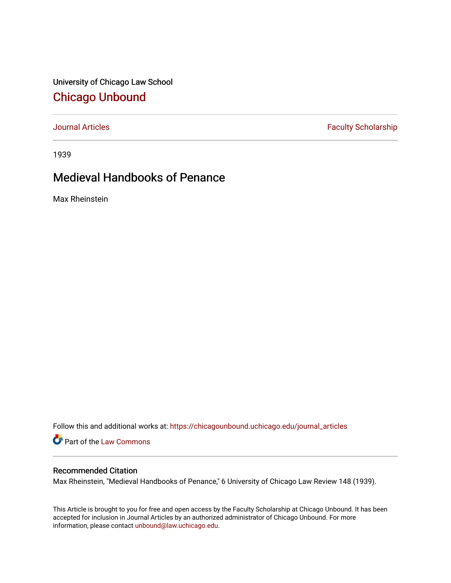University of Chicago Law School [Chicago Unbound](https://chicagounbound.uchicago.edu/)

[Journal Articles](https://chicagounbound.uchicago.edu/journal_articles) **Faculty Scholarship Faculty Scholarship** 

1939

## Medieval Handbooks of Penance

Max Rheinstein

Follow this and additional works at: [https://chicagounbound.uchicago.edu/journal\\_articles](https://chicagounbound.uchicago.edu/journal_articles?utm_source=chicagounbound.uchicago.edu%2Fjournal_articles%2F9249&utm_medium=PDF&utm_campaign=PDFCoverPages) 

Part of the [Law Commons](http://network.bepress.com/hgg/discipline/578?utm_source=chicagounbound.uchicago.edu%2Fjournal_articles%2F9249&utm_medium=PDF&utm_campaign=PDFCoverPages)

## Recommended Citation

Max Rheinstein, "Medieval Handbooks of Penance," 6 University of Chicago Law Review 148 (1939).

This Article is brought to you for free and open access by the Faculty Scholarship at Chicago Unbound. It has been accepted for inclusion in Journal Articles by an authorized administrator of Chicago Unbound. For more information, please contact [unbound@law.uchicago.edu](mailto:unbound@law.uchicago.edu).